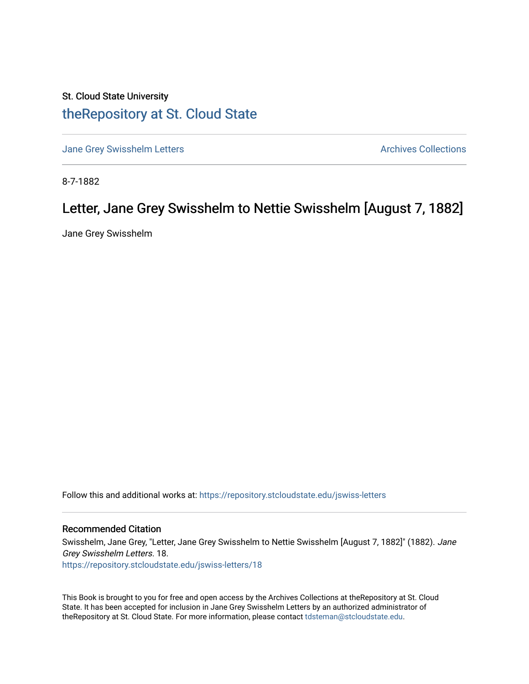## St. Cloud State University [theRepository at St. Cloud State](https://repository.stcloudstate.edu/)

[Jane Grey Swisshelm Letters](https://repository.stcloudstate.edu/jswiss-letters) **Archives Collections** Archives Collections

8-7-1882

## Letter, Jane Grey Swisshelm to Nettie Swisshelm [August 7, 1882]

Jane Grey Swisshelm

Follow this and additional works at: [https://repository.stcloudstate.edu/jswiss-letters](https://repository.stcloudstate.edu/jswiss-letters?utm_source=repository.stcloudstate.edu%2Fjswiss-letters%2F18&utm_medium=PDF&utm_campaign=PDFCoverPages) 

## Recommended Citation

Swisshelm, Jane Grey, "Letter, Jane Grey Swisshelm to Nettie Swisshelm [August 7, 1882]" (1882). Jane Grey Swisshelm Letters. 18. [https://repository.stcloudstate.edu/jswiss-letters/18](https://repository.stcloudstate.edu/jswiss-letters/18?utm_source=repository.stcloudstate.edu%2Fjswiss-letters%2F18&utm_medium=PDF&utm_campaign=PDFCoverPages) 

This Book is brought to you for free and open access by the Archives Collections at theRepository at St. Cloud State. It has been accepted for inclusion in Jane Grey Swisshelm Letters by an authorized administrator of theRepository at St. Cloud State. For more information, please contact [tdsteman@stcloudstate.edu](mailto:tdsteman@stcloudstate.edu).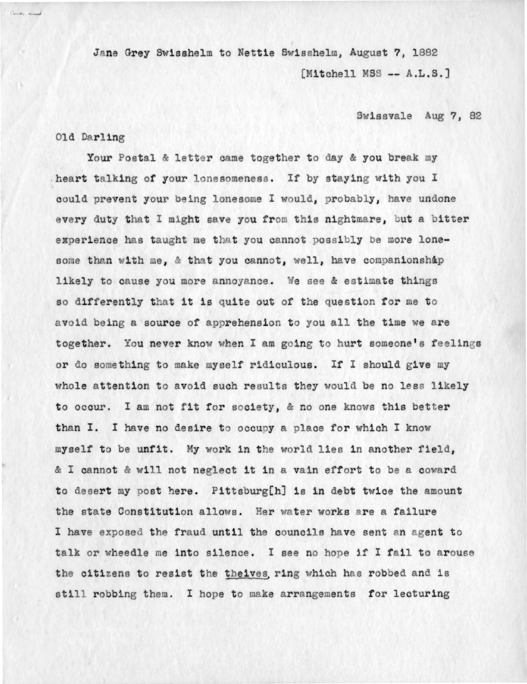Jane Grey Swisshelm to Nettie Swisshelm, August 7, 1882 [Mitchell MSS -- A.L.S.]

Swissvale Aug 7, 82

## Old Darling

Your Postal & letter came together to day & you break my heart talking of your lonesomeness. If by staying with you I could prevent your being lonesome I would, probably, have undone every duty that I might save you from this nightmare, but a bitter experience has taught me that you cannot possibly be more lonesome than with me, & that you cannot, well, have companionship likely to cause you more annoyance. We see & estimate things so differently that it is quite out of the question for me to avoid being a source of apprehension to you all the time we are together. You never know when I am going to hurt someone's feelings or do something to make myself ridiculous. If I should give my whole attention to avoid such results they would be no less likely to occur. I am not fit for society, & no one knows this better than I. I have no desire to occupy a place for which I know myself to be unfit. My work in the world lies in another field, & I cannot & will not neglect it in a vain effort to be a coward to desert my post here. Pittsburg[h] is in debt twice the amount the state Constitution allows. Her water works are a failure I have exposed the fraud until the councils have sent an agent to talk or wheedle me into silence. I see no hope if I fail to arouse the citizens to resist the theives ring which has robbed and is still robbing them. I hope to make arrangements for lecturing